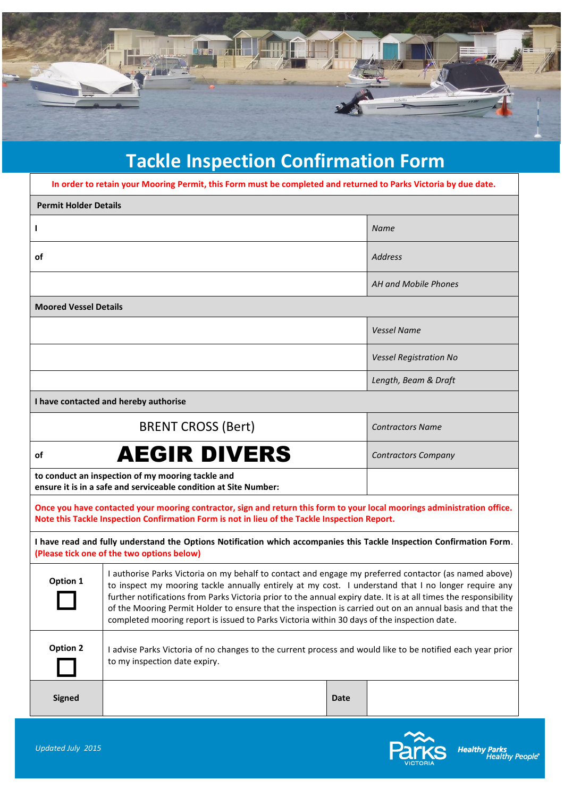

## **Tackle Inspection Confirmation Form**

| In order to retain your Mooring Permit, this Form must be completed and returned to Parks Victoria by due date.                                                                                                           |                                                                                                                                                                                                                                                                                                                                                                                                                                                                                                                                               |             |                               |  |  |  |
|---------------------------------------------------------------------------------------------------------------------------------------------------------------------------------------------------------------------------|-----------------------------------------------------------------------------------------------------------------------------------------------------------------------------------------------------------------------------------------------------------------------------------------------------------------------------------------------------------------------------------------------------------------------------------------------------------------------------------------------------------------------------------------------|-------------|-------------------------------|--|--|--|
| <b>Permit Holder Details</b>                                                                                                                                                                                              |                                                                                                                                                                                                                                                                                                                                                                                                                                                                                                                                               |             |                               |  |  |  |
| L                                                                                                                                                                                                                         |                                                                                                                                                                                                                                                                                                                                                                                                                                                                                                                                               |             | <b>Name</b>                   |  |  |  |
| οf                                                                                                                                                                                                                        |                                                                                                                                                                                                                                                                                                                                                                                                                                                                                                                                               |             | <b>Address</b>                |  |  |  |
|                                                                                                                                                                                                                           |                                                                                                                                                                                                                                                                                                                                                                                                                                                                                                                                               |             | AH and Mobile Phones          |  |  |  |
| <b>Moored Vessel Details</b>                                                                                                                                                                                              |                                                                                                                                                                                                                                                                                                                                                                                                                                                                                                                                               |             |                               |  |  |  |
|                                                                                                                                                                                                                           |                                                                                                                                                                                                                                                                                                                                                                                                                                                                                                                                               |             | <b>Vessel Name</b>            |  |  |  |
|                                                                                                                                                                                                                           |                                                                                                                                                                                                                                                                                                                                                                                                                                                                                                                                               |             | <b>Vessel Registration No</b> |  |  |  |
|                                                                                                                                                                                                                           |                                                                                                                                                                                                                                                                                                                                                                                                                                                                                                                                               |             | Length, Beam & Draft          |  |  |  |
| I have contacted and hereby authorise                                                                                                                                                                                     |                                                                                                                                                                                                                                                                                                                                                                                                                                                                                                                                               |             |                               |  |  |  |
|                                                                                                                                                                                                                           | <b>BRENT CROSS (Bert)</b>                                                                                                                                                                                                                                                                                                                                                                                                                                                                                                                     |             | <b>Contractors Name</b>       |  |  |  |
| <b>AEGIR DIVERS</b><br>οf                                                                                                                                                                                                 |                                                                                                                                                                                                                                                                                                                                                                                                                                                                                                                                               |             | <b>Contractors Company</b>    |  |  |  |
| to conduct an inspection of my mooring tackle and<br>ensure it is in a safe and serviceable condition at Site Number:                                                                                                     |                                                                                                                                                                                                                                                                                                                                                                                                                                                                                                                                               |             |                               |  |  |  |
| Once you have contacted your mooring contractor, sign and return this form to your local moorings administration office.<br>Note this Tackle Inspection Confirmation Form is not in lieu of the Tackle Inspection Report. |                                                                                                                                                                                                                                                                                                                                                                                                                                                                                                                                               |             |                               |  |  |  |
| I have read and fully understand the Options Notification which accompanies this Tackle Inspection Confirmation Form.<br>(Please tick one of the two options below)                                                       |                                                                                                                                                                                                                                                                                                                                                                                                                                                                                                                                               |             |                               |  |  |  |
| Option 1                                                                                                                                                                                                                  | I authorise Parks Victoria on my behalf to contact and engage my preferred contactor (as named above)<br>to inspect my mooring tackle annually entirely at my cost. I understand that I no longer require any<br>further notifications from Parks Victoria prior to the annual expiry date. It is at all times the responsibility<br>of the Mooring Permit Holder to ensure that the inspection is carried out on an annual basis and that the<br>completed mooring report is issued to Parks Victoria within 30 days of the inspection date. |             |                               |  |  |  |
| Option 2                                                                                                                                                                                                                  | I advise Parks Victoria of no changes to the current process and would like to be notified each year prior<br>to my inspection date expiry.                                                                                                                                                                                                                                                                                                                                                                                                   |             |                               |  |  |  |
| <b>Signed</b>                                                                                                                                                                                                             |                                                                                                                                                                                                                                                                                                                                                                                                                                                                                                                                               | <b>Date</b> |                               |  |  |  |